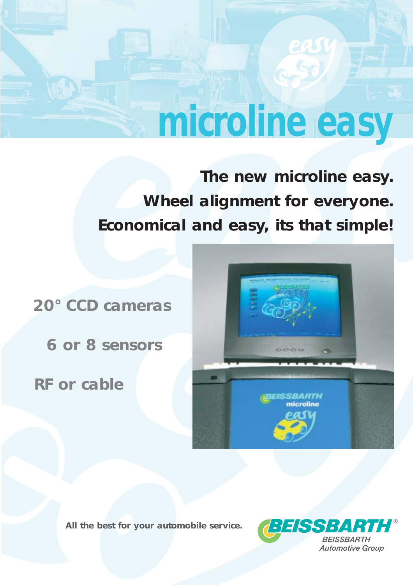# **microline easy**

**The new microline easy. Wheel alignment for everyone. Economical and easy, its that simple!**

**20° CCD cameras**

**6 or 8 sensors**

**RF or cable**



*All the best for your automobile service.*

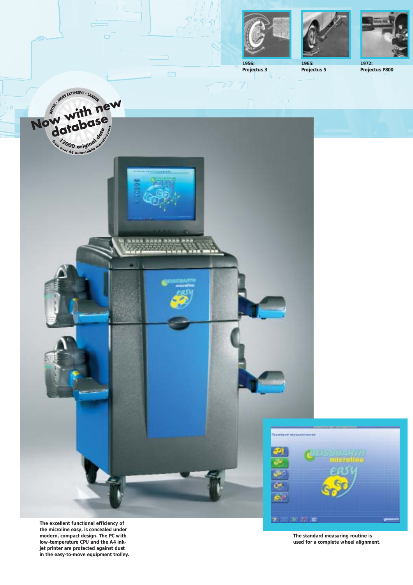





**1956: Projectus 3**

**Projectus 5**

**1972: Projectus P800**



 $\Box$ 

**The excellent functional efficiency of** the microline easy, is concealed under **modern, compact design. The PC with low-temperature CPU and the A4 inkjet printer are protected against dust in the easy-to-move equipment trolley.**

**The standard measuring routine is used for a complete wheel alignment.**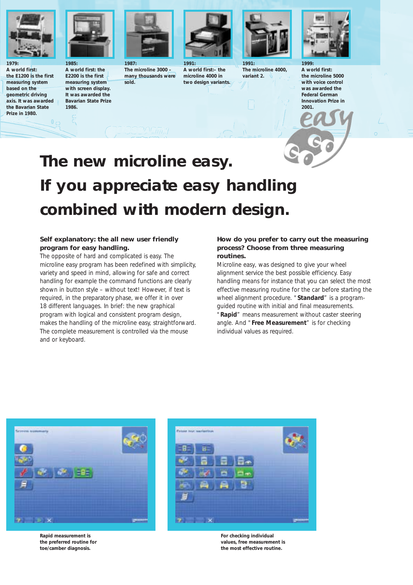

**1979: A world first: the E1200 is the first measuring system based on the geometric driving axis. It was awarded the Bavarian State Prize in 1980.**



**A world first: the E2200 is the first measuring system with screen display. It was awarded the Bavarian State Prize 1986.**



**The microline 3000 – many thousands were sold.**



**1991: A world first:– the microline 4000 in two design variants.**



**1991: The microline 4000, variant 2.**



**A world first: the microline 5000 with voice control was awarded the Federal German Innovation Prize in 2001.**

## **The new microline easy. If you appreciate easy handling combined with modern design.**

### **Self explanatory: the all new user friendly program for easy handling.**

The opposite of hard and complicated is easy. The microline easy program has been redefined with simplicity, variety and speed in mind, allowing for safe and correct handling for example the command functions are clearly shown in button style – without text! However, if text is required, in the preparatory phase, we offer it in over 18 different languages. In brief: the new graphical program with logical and consistent program design, makes the handling of the microline easy, straightforward. The complete measurement is controlled via the mouse and or keyboard.

### **How do you prefer to carry out the measuring process? Choose from three measuring routines.**

Microline easy, was designed to give your wheel alignment service the best possible efficiency. Easy handling means for instance that you can select the most effective measuring routine for the car before starting the wheel alignment procedure. "**Standard**" is a programguided routine with initial and final measurements. "**Rapid**" means measurement without caster steering angle. And "**Free Measurement**" is for checking individual values as required.



**Rapid measurement is the preferred routine for toe/camber diagnosis.**



**For checking individual values, free measurement is the most effective routine.**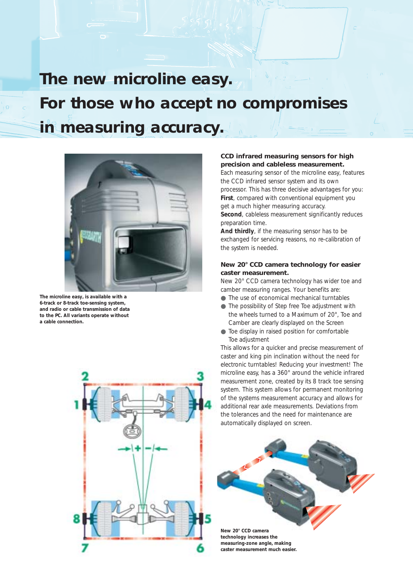**The new microline easy. For those who accept no compromises in measuring accuracy.**



The microline easy, is available with a **6-track or 8-track toe-sensing system, and radio or cable transmission of data to the PC. All variants operate without a cable connection.**



### **CCD infrared measuring sensors for high precision and cableless measurement.**

Each measuring sensor of the microline easy, features the CCD infrared sensor system and its own processor. This has three decisive advantages for you: **First**, compared with conventional equipment you get a much higher measuring accuracy. **Second**, cableless measurement significantly reduces preparation time.

**And thirdly**, if the measuring sensor has to be exchanged for servicing reasons, no re-calibration of the system is needed.

### **New 20° CCD camera technology for easier caster measurement.**

New 20° CCD camera technology has wider toe and camber measuring ranges. Your benefits are:

- The use of economical mechanical turntables
- The possibility of Step free Toe adjustment with the wheels turned to a Maximum of 20°, Toe and Camber are clearly displayed on the Screen
- Toe display in raised position for comfortable Toe adjustment

This allows for a quicker and precise measurement of caster and king pin inclination without the need for electronic turntables! Reducing your investment! The microline easy, has a 360° around the vehicle infrared measurement zone, created by its 8 track toe sensing system. This system allows for permanent monitoring of the systems measurement accuracy and allows for additional rear axle measurements. Deviations from the tolerances and the need for maintenance are automatically displayed on screen.



**technology increases the measuring-zone angle, making caster measurement much easier.**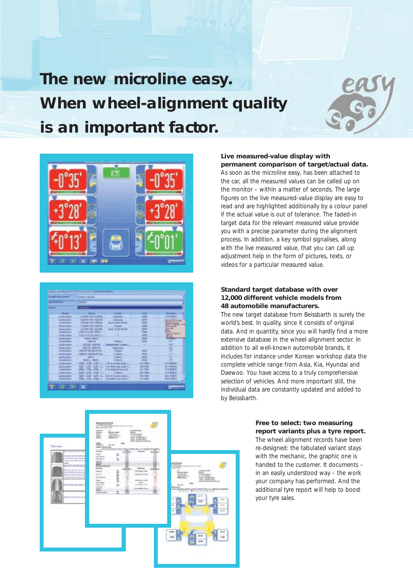**The new microline easy. When wheel-alignment quality is an important factor.**



| <b>Committee School Committee</b><br>-- |                          | or det as fo case may<br><b>STATE IS</b>      |                                                                                                                                                                                                                                                  |                |                                |    |
|-----------------------------------------|--------------------------|-----------------------------------------------|--------------------------------------------------------------------------------------------------------------------------------------------------------------------------------------------------------------------------------------------------|----------------|--------------------------------|----|
|                                         |                          |                                               |                                                                                                                                                                                                                                                  |                |                                | -- |
|                                         |                          |                                               |                                                                                                                                                                                                                                                  |                |                                |    |
|                                         | <b>LACE CAREE</b>        | A Local Avenue, Markholm                      | <b>Anado</b> alive                                                                                                                                                                                                                               | 12241          | 18/8/416                       |    |
|                                         | <b>Laurence</b>          | Automotive control                            | <b><i><u>New York College College College College College College College College College College College College College College College College College College College College College College College College College College Co</u></i></b> | <b>JERRY</b>   | <b>List Looking</b>            |    |
|                                         | <b>Laurence</b>          | <b>TROUGHOR FEBRUA</b>                        | <b>Bud of the allow</b>                                                                                                                                                                                                                          | m              | 132.4                          |    |
|                                         | <b>Laurence</b>          | A FORM THE ANSWER                             | <b><i><u>SAFEREERS</u></i></b>                                                                                                                                                                                                                   | <b>MAKE</b>    |                                |    |
|                                         | Languages                | 41,000,006,020,00                             | <b>Rode of Add World</b>                                                                                                                                                                                                                         | <b>JOSE</b>    | -                              |    |
|                                         | I memberikan digunak     | <b>REPAIRING MARINE</b>                       |                                                                                                                                                                                                                                                  | <b>Maid</b>    | <b>They</b><br><b>REGISTER</b> |    |
|                                         | <b>Likela market</b>     | <b>JUNEAU PRIVATE AUGUST</b>                  | -                                                                                                                                                                                                                                                | <b>START</b>   | <b>British</b><br>--           |    |
|                                         | <b>LASHAWE</b>           | <b>NAME RADIO</b>                             |                                                                                                                                                                                                                                                  |                | --                             |    |
|                                         | <b><i>L'INSTRUST</i></b> | 1961 774                                      | <b>TEASE</b>                                                                                                                                                                                                                                     | <b>Local</b>   | <b>IP</b>                      |    |
|                                         | <b>Laboratory</b>        | <b>NEWLYFEME</b>                              | send interest.                                                                                                                                                                                                                                   |                | m                              |    |
|                                         | Extraordist              | <b>BUTHY, MAYING</b>                          | Royal and a                                                                                                                                                                                                                                      | . .            | w                              |    |
|                                         | 1 stream shorts          | (8619) 170 Au 40 411                          | <b>Thems</b>                                                                                                                                                                                                                                     | 9007           | m                              |    |
|                                         | <b>Tub Britannia</b>     | TWO OF ALLENE IN NOR                          | <b>15 DELAILS</b>                                                                                                                                                                                                                                | -              | 17                             |    |
|                                         | <b>La caracteri</b>      | <b>Dalla</b> All                              | Limited at                                                                                                                                                                                                                                       | -              |                                |    |
|                                         | 1 8 APROVED              | <b>AFIEL TWEL.</b>                            | 1 Palanti                                                                                                                                                                                                                                        |                |                                |    |
|                                         | <b>Transportation</b>    | 头线,只线,以线,几、计机关分析(mili)。                       |                                                                                                                                                                                                                                                  | <b>Billian</b> | 1941 846 941                   |    |
|                                         | <b>Lakelin changes</b>   | AUST . 1231 . SUIT . L  THE WORLDWIS CORN L   |                                                                                                                                                                                                                                                  | <b>MAILTON</b> | 送上事項法                          |    |
|                                         | <b>Andrie More</b>       | KTC, 179, 179, 1 T.St Abbands is to at        |                                                                                                                                                                                                                                                  | <b>B4 1940</b> | <b>SERVATOR</b>                |    |
|                                         | <b>LASTINAL</b>          | AIRFLAUR, AUR. Ave.                           | TO THE AVE                                                                                                                                                                                                                                       | 2711100        | <b>RAMAR</b>                   |    |
|                                         | Latitudent               | Add . Individuals  The minimal state of       |                                                                                                                                                                                                                                                  | <b>HALFAR</b>  | <b>ARRIVERS</b>                |    |
|                                         | <b>I submitted</b>       | with 1990, SFM, It .: Substanting products in |                                                                                                                                                                                                                                                  | <b>BITTING</b> | MATH PARK USE                  |    |

### **Live measured-value display with permanent comparison of target/actual data.**

As soon as the microline easy, has been attached to the car, all the measured values can be called up on the monitor – within a matter of seconds. The large figures on the live measured-value display are easy to read and are highlighted additionally by a colour panel if the actual value is out of tolerance. The faded-in target data for the relevant measured value provide you with a precise parameter during the alignment process. In addition, a key symbol signalises, along with the live measured value, that you can call up adjustment help in the form of pictures, texts, or videos for a particular measured value.

### **Standard target database with over 12,000 different vehicle models from 48 automobile manufacturers.**

The new target database from Beissbarth is surely the world's best. In quality, since it consists of original data. And in quantity, since you will hardly find a more extensive database in the wheel-alignment sector. In addition to all well-known automobile brands, it includes for instance under Korean workshop data the complete vehicle range from Asia, Kia, Hyundai and Daewoo. You have access to a truly comprehensive selection of vehicles. And more important still, the individual data are constantly updated and added to by Beissbarth.



### **Free to select: two measuring report variants plus a tyre report.**

The wheel alignment records have been re-designed: the tabulated variant stays with the mechanic, the graphic one is handed to the customer. It documents – in an easily understood way – the work your company has performed. And the additional tyre report will help to boost your tyre sales.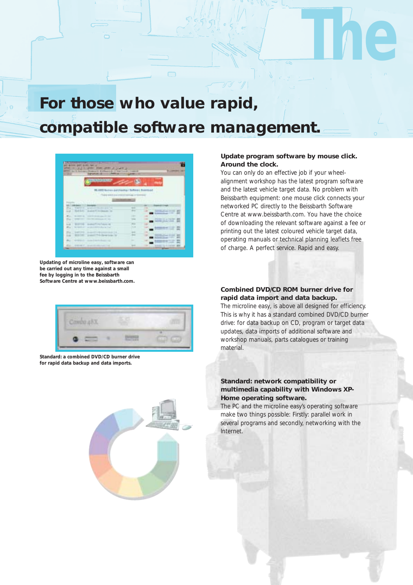### **For those who value rapid, compatible software management.**



**Updating of microline easy, software can be carried out any time against a small fee by logging in to the Beissbarth Software Centre at www.beissbarth.com.**

### **Update program software by mouse click. Around the clock.**

**The** 

You can only do an effective job if your wheelalignment workshop has the latest program software and the latest vehicle target data. No problem with Beissbarth equipment: one mouse click connects your networked PC directly to the Beissbarth Software Centre at www.beissbarth.com. You have the choice of downloading the relevant software against a fee or printing out the latest coloured vehicle target data, operating manuals or technical planning leaflets free of charge. A perfect service. Rapid and easy.

**Combined DVD/CD ROM burner drive for rapid data import and data backup.**

material.

The microline easy, is above all designed for efficiency. This is why it has a standard combined DVD/CD burner drive: for data backup on CD, program or target data updates, data imports of additional software and workshop manuals, parts catalogues or training



**Standard: a combined DVD/CD burner drive for rapid data backup and data imports.**



The PC and the microline easy's operating software make two things possible: Firstly: parallel work in several programs and secondly, networking with the Internet.

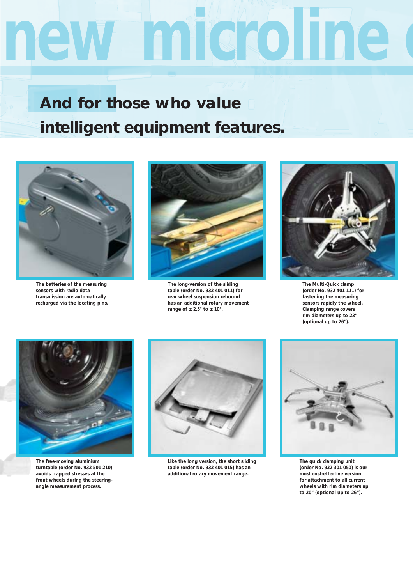# new microline

## **And for those who value intelligent equipment features.**



**The batteries of the measuring sensors with radio data transmission are automatically recharged via the locating pins.**



**The long-version of the sliding table (order No. 932 401 011) for rear wheel suspension rebound has an additional rotary movement range of ± 2.5° to ± 10°.**



**The Multi-Quick clamp (order No. 932 401 111) for fastening the measuring sensors rapidly the wheel. Clamping range covers rim diameters up to 23" (optional up to 26").**



**The free-moving aluminium turntable (order No. 932 501 210) avoids trapped stresses at the front wheels during the steeringangle measurement process.**



**Like the long version, the short sliding table (order No. 932 401 015) has an additional rotary movement range.**



**The quick clamping unit (order No. 932 301 050) is our most cost-effective version for attachment to all current wheels with rim diameters up to 20" (optional up to 26").**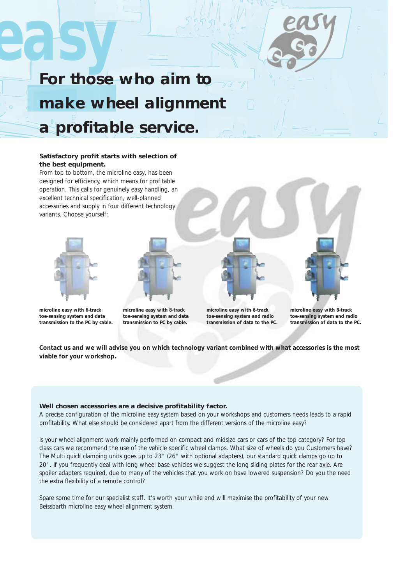## **easy For those who aim to make wheel alignment a profitable service.**

### **Satisfactory profit starts with selection of the best equipment.**

From top to bottom, the microline easy, has been designed for efficiency, which means for profitable operation. This calls for genuinely easy handling, an excellent technical specification, well-planned accessories and supply in four different technology variants. Choose yourself:





**microline easy with 6-track toe-sensing system and data transmission to the PC by cable.** **microline easy with 8-track toe-sensing system and data transmission to PC by cable.**

**microline easy with 6-track toe-sensing system and radio transmission of data to the PC.** **microline easy with 8-track toe-sensing system and radio transmission of data to the PC.**

**Contact us and we will advise you on which technology variant combined with what accessories is the most viable for your workshop.**

### **Well chosen accessories are a decisive profitability factor.**

A precise configuration of the microline easy system based on your workshops and customers needs leads to a rapid profitability. What else should be considered apart from the different versions of the microline easy?

Is your wheel alignment work mainly performed on compact and midsize cars or cars of the top category? For top class cars we recommend the use of the vehicle specific wheel clamps. What size of wheels do you Customers have? The Multi quick clamping units goes up to 23" (26" with optional adapters), our standard quick clamps go up to 20". If you frequently deal with long wheel base vehicles we suggest the long sliding plates for the rear axle. Are spoiler adapters required, due to many of the vehicles that you work on have lowered suspension? Do you the need the extra flexibility of a remote control?

Spare some time for our specialist staff. It's worth your while and will maximise the profitability of your new Beissbarth microline easy wheel alignment system.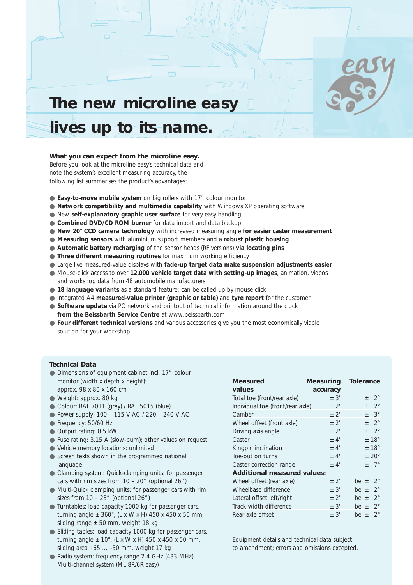

## **The new microline easy lives up to its name.**

### **What you can expect from the microline easy.**

Before you look at the microline easy's technical data and note the system's excellent measuring accuracy, the following list summarises the product's advantages:

- **Easy-to-move mobile system** on big rollers with 17" colour monitor
- **Network compatibility and multimedia capability** with Windows XP operating software
- New **self-explanatory graphic user surface** for very easy handling
- **Combined DVD/CD ROM burner** for data import and data backup
- **New 20° CCD camera technology** with increased measuring angle **for easier caster measurement**
- **Measuring sensors** with aluminium support members and a **robust plastic housing**
- **Automatic battery recharging** of the sensor heads (RF versions) **via locating pins**
- **Three different measuring routines** for maximum working efficiency
- Large live measured-value displays with **fade-up target data make suspension adjustments easier**
- Mouse-click access to over 12,000 vehicle target data with setting-up images, animation, videos and workshop data from 48 automobile manufacturers
- **18 language variants** as a standard feature; can be called up by mouse click
- Integrated A4 **measured-value printer (graphic or table)** and **tyre report** for the customer
- **Software update** via PC network and printout of technical information around the clock **from the Beissbarth Service Centre** at www.beissbarth.com
- **Four different technical versions** and various accessories give you the most economically viable solution for your workshop.

#### **Technical Data**

- Dimensions of equipment cabinet incl. 17" colour monitor (width x depth x height): approx. 98 x 80 x 160 cm
- Weight: approx. 80 kg
- Colour: RAL 7011 (grey) / RAL 5015 (blue)
- Power supply: 100 115 V AC / 220 240 V AC
- Frequency: 50/60 Hz
- Output rating: 0.5 kW
- Fuse rating: 3.15 A (slow-burn); other values on request
- Vehicle memory locations: unlimited
- Screen texts shown in the programmed national language
- Clamping system: Quick-clamping units: for passenger cars with rim sizes from  $10 - 20$ " (optional  $26$ ")
- Multi-Quick clamping units: for passenger cars with rim sizes from  $10 - 23$ " (optional  $26$ ")
- Turntables: load capacity 1000 kg for passenger cars, turning angle  $\pm 360^{\circ}$ , (L x W x H) 450 x 450 x 50 mm, sliding range  $\pm$  50 mm, weight 18 kg
- Sliding tables: load capacity 1000 kg for passenger cars, turning angle  $\pm$  10°, (L x W x H) 450 x 450 x 50 mm, sliding area +65 … -50 mm, weight 17 kg
- Radio system: frequency range 2.4 GHz (433 MHz) Multi-channel system (ML 8R/6R easy)

| <b>Measured</b><br>values          | <b>Measuring</b> | <b>Tolerance</b>         |  |  |  |  |  |
|------------------------------------|------------------|--------------------------|--|--|--|--|--|
|                                    | accuracy         |                          |  |  |  |  |  |
| Total toe (front/rear axle)        | $+3'$            | $2^{\circ}$<br>$^{+}$    |  |  |  |  |  |
| Individual toe (front/rear axle)   | $+2'$            | $+$ 2°                   |  |  |  |  |  |
| Camber                             | $+2'$            | $\pm$ 3°                 |  |  |  |  |  |
| Wheel offset (front axle)          | $+2'$            | $+2^\circ$               |  |  |  |  |  |
| Driving axis angle                 | $+2'$            | $+$ 2°                   |  |  |  |  |  |
| Caster                             | $+4'$            | $\pm$ 18°                |  |  |  |  |  |
| Kingpin inclination                | $+4'$            | ±18°                     |  |  |  |  |  |
| Toe-out on turns                   | $+4'$            | $+20^\circ$              |  |  |  |  |  |
| Caster correction range            | $+4'$            | $+ 7^\circ$              |  |  |  |  |  |
| <b>Additional measured values:</b> |                  |                          |  |  |  |  |  |
| Wheel offset (rear axle)           | $+2'$            | $2^{\circ}$<br>bei $\pm$ |  |  |  |  |  |
| Wheelbase difference               | $\pm$ 3'         | $2^{\circ}$<br>bei $\pm$ |  |  |  |  |  |
| Lateral offset left/right          | $\pm$ 2'         | $2^{\circ}$<br>bei ±     |  |  |  |  |  |
| Track width difference             | $+3'$            | bei $\pm$ 2°             |  |  |  |  |  |
| Rear axle offset                   | $+3'$            | $2^{\circ}$<br>bei +     |  |  |  |  |  |

Equipment details and technical data subject to amendment; errors and omissions excepted.